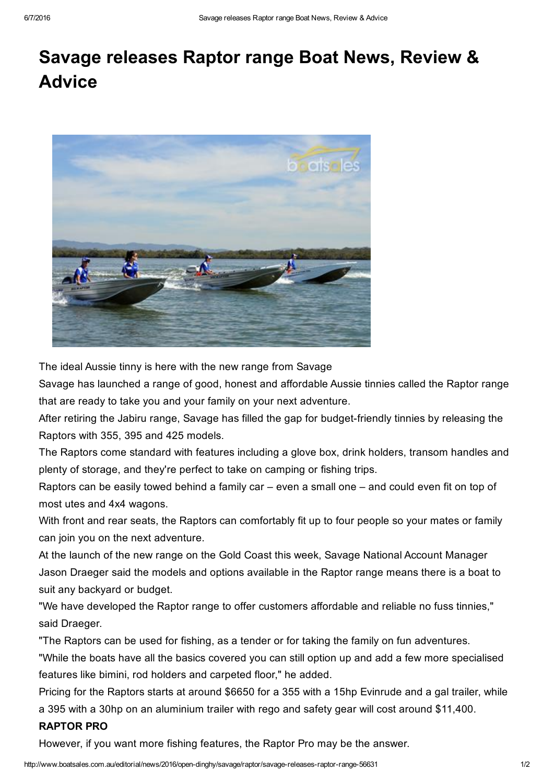## Savage releases Raptor range Boat News, Review & **Advice**



The ideal Aussie tinny is here with the new range from Savage

Savage has launched a range of good, honest and affordable Aussie tinnies called the Raptor range that are ready to take you and your family on your next adventure.

After retiring the Jabiru range, Savage has filled the gap for budget-friendly tinnies by releasing the Raptors with 355, 395 and 425 models.

The Raptors come standard with features including a glove box, drink holders, transom handles and plenty of storage, and they're perfect to take on camping or fishing trips.

Raptors can be easily towed behind a family car – even a small one – and could even fit on top of most utes and 4x4 wagons.

With front and rear seats, the Raptors can comfortably fit up to four people so your mates or family can join you on the next adventure.

At the launch of the new range on the Gold Coast this week, Savage National Account Manager Jason Draeger said the models and options available in the Raptor range means there is a boat to suit any backyard or budget.

"We have developed the Raptor range to offer customers affordable and reliable no fuss tinnies," said Draeger.

"The Raptors can be used for fishing, as a tender or for taking the family on fun adventures.

"While the boats have all the basics covered you can still option up and add a few more specialised features like bimini, rod holders and carpeted floor," he added.

Pricing for the Raptors starts at around \$6650 for a 355 with a 15hp Evinrude and a gal trailer, while a 395 with a 30hp on an aluminium trailer with rego and safety gear will cost around \$11,400.

## RAPTOR PRO

However, if you want more fishing features, the Raptor Pro may be the answer.